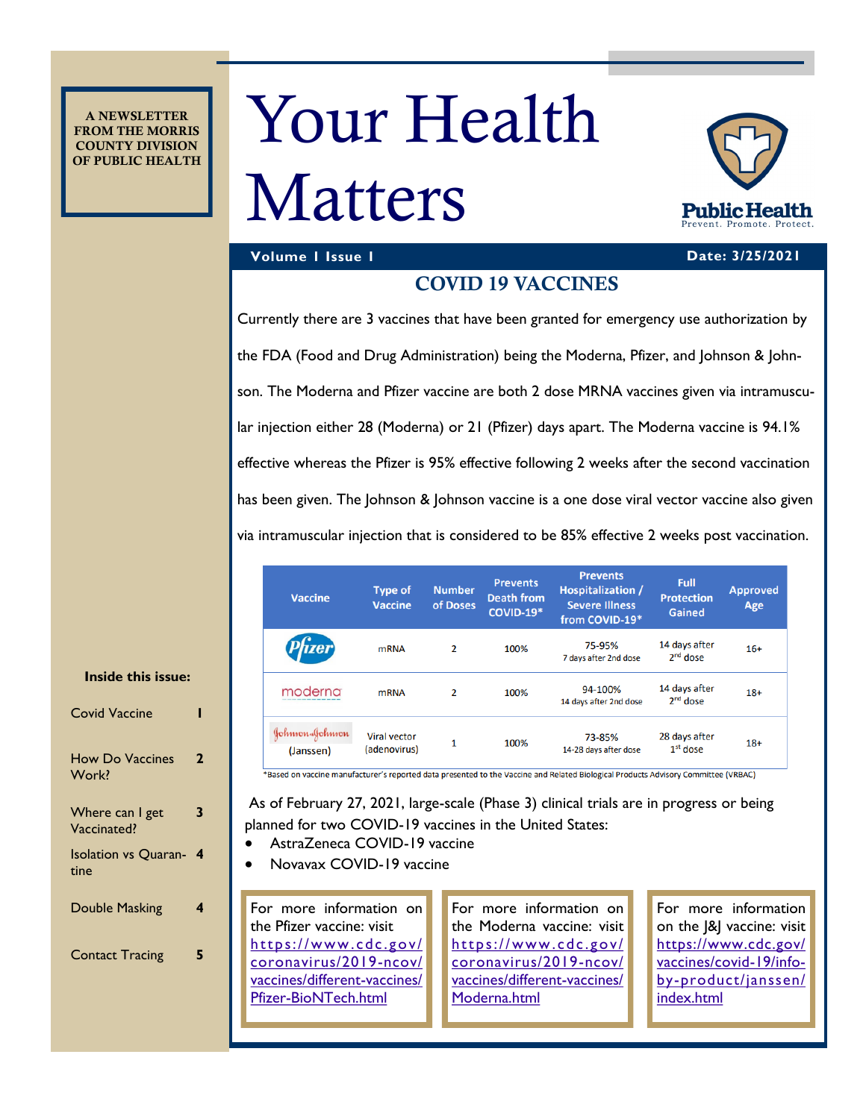A NEWSLETTER FROM THE MORRIS COUNTY DIVISION OF PUBLIC HEALTH

# Your Health

## Matters



### **Volume 1 Issue 1 Date: 3/25/2021**

### COVID 19 VACCINES

Currently there are 3 vaccines that have been granted for emergency use authorization by the FDA (Food and Drug Administration) being the Moderna, Pfizer, and Johnson & Johnson. The Moderna and Pfizer vaccine are both 2 dose MRNA vaccines given via intramuscular injection either 28 (Moderna) or 21 (Pfizer) days apart. The Moderna vaccine is 94.1% effective whereas the Pfizer is 95% effective following 2 weeks after the second vaccination has been given. The Johnson & Johnson vaccine is a one dose viral vector vaccine also given via intramuscular injection that is considered to be 85% effective 2 weeks post vaccination.

| <b>Vaccine</b>               | <b>Type of</b><br><b>Vaccine</b>    | <b>Number</b><br>of Doses | <b>Prevents</b><br><b>Death from</b><br><b>COVID-19*</b> | <b>Prevents</b><br>Hospitalization /<br><b>Severe Illness</b><br>from COVID-19* | Full<br><b>Protection</b><br>Gained | <b>Approved</b><br>Age |
|------------------------------|-------------------------------------|---------------------------|----------------------------------------------------------|---------------------------------------------------------------------------------|-------------------------------------|------------------------|
| <b>izer</b>                  | <b>mRNA</b>                         | $\overline{2}$            | 100%                                                     | 75-95%<br>7 days after 2nd dose                                                 | 14 days after<br>$2nd$ dose         | $16+$                  |
| moderna                      | <b>mRNA</b>                         | 2                         | 100%                                                     | 94-100%<br>14 days after 2nd dose                                               | 14 days after<br>$2nd$ dose         | $18+$                  |
| Johnson-Johnson<br>(Janssen) | <b>Viral vector</b><br>(adenovirus) | 1                         | 100%                                                     | 73-85%<br>14-28 days after dose                                                 | 28 days after<br>$1st$ dose         | $18+$                  |

### <sup>+</sup>Based on vaccine manufacturer's reported data presented to the Vaccine and Related Biological Products Advisory Committee (VRBAC)

As of February 27, 2021, large-scale (Phase 3) clinical trials are in progress or being planned for two COVID-19 vaccines in the United States:

- AstraZeneca COVID-19 vaccine
- Novavax COVID-19 vaccine

For more information on the Pfizer vaccine: visit [https://www .cdc.gov/](file:///C:/Users/bsmith/Documents/Custom Office Templates) [coronavirus/2019-ncov/](file:///C:/Users/bsmith/Documents/Custom Office Templates) [vaccines/different-vaccines/](file:///C:/Users/bsmith/Documents/Custom Office Templates) [Pfizer-BioNTech.html](file:///C:/Users/bsmith/Documents/Custom Office Templates)

For more information on the Moderna vaccine: visit https://www.cdc.gov/ [coronavirus/2019-ncov/](https://www.cdc.gov/coronavirus/2019-ncov/vaccines/different-vaccines/Moderna.html) [vaccines/different-vaccines/](https://www.cdc.gov/coronavirus/2019-ncov/vaccines/different-vaccines/Moderna.html) [Moderna.html](https://www.cdc.gov/coronavirus/2019-ncov/vaccines/different-vaccines/Moderna.html)

For more information on the  $|&$  vaccine: visit [https://www.cdc.gov/](https://www.cdc.gov/vaccines/covid-19/info-by-product/janssen/index.html) [vaccines/covid-19/info](https://www.cdc.gov/vaccines/covid-19/info-by-product/janssen/index.html)[by-product/janssen/](https://www.cdc.gov/vaccines/covid-19/info-by-product/janssen/index.html) [index.html](https://www.cdc.gov/vaccines/covid-19/info-by-product/janssen/index.html)

### **Inside this issue:**

| <b>Covid Vaccine</b>                |   |
|-------------------------------------|---|
| <b>How Do Vaccines</b><br>Work?     | 2 |
| Where can I get<br>Vaccinated?      | 3 |
| <b>Isolation vs Quaran-</b><br>tine | 4 |
| <b>Double Masking</b>               | 4 |
| <b>Contact Tracing</b>              | 5 |
|                                     |   |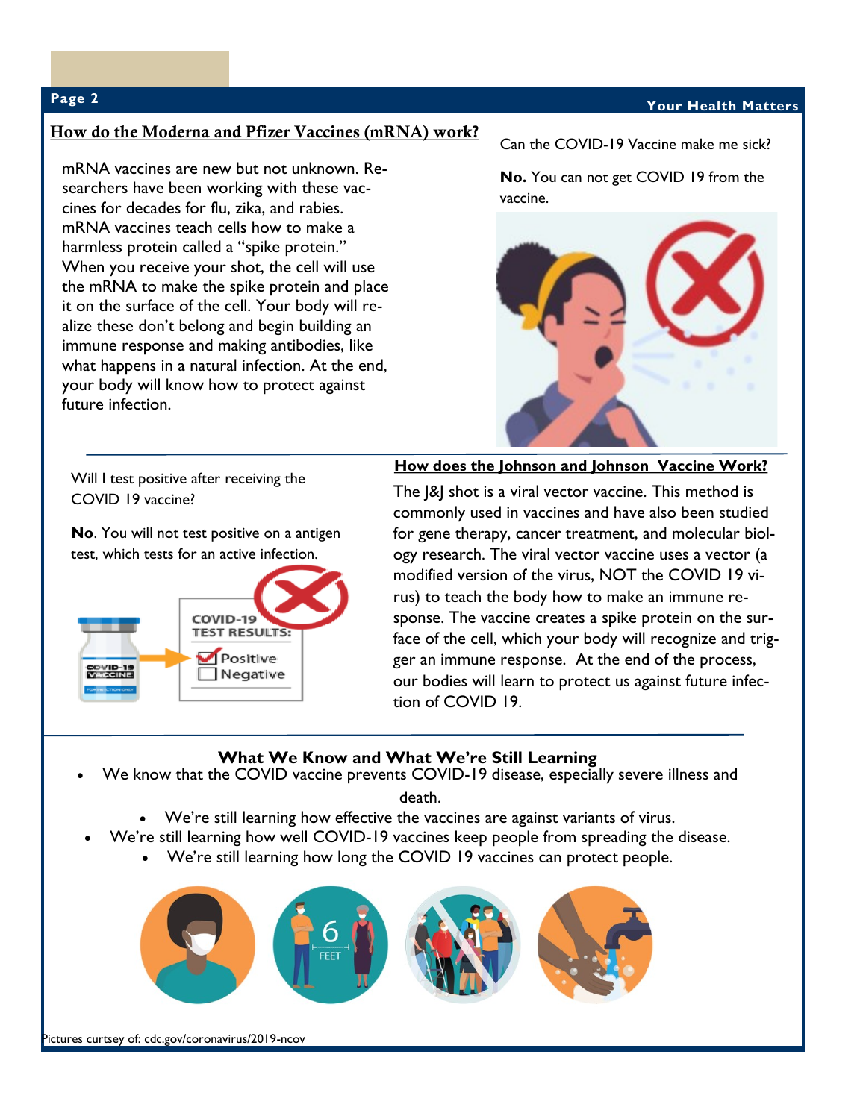### **Page 2 Your Health Matters**

### How do the Moderna and Pfizer Vaccines (mRNA) work**?**

mRNA vaccines are new but not unknown. Researchers have been working with these vaccines for decades for flu, zika, and rabies. mRNA vaccines teach cells how to make a harmless protein called a "spike protein." When you receive your shot, the cell will use the mRNA to make the spike protein and place it on the surface of the cell. Your body will realize these don't belong and begin building an immune response and making antibodies, like what happens in a natural infection. At the end, your body will know how to protect against future infection.

Can the COVID-19 Vaccine make me sick?

**No.** You can not get COVID 19 from the vaccine.



Will I test positive after receiving the COVID 19 vaccine?

**No**. You will not test positive on a antigen test, which tests for an active infection.



**How does the Johnson and Johnson Vaccine Work?**

The J&J shot is a viral vector vaccine. This method is commonly used in vaccines and have also been studied for gene therapy, cancer treatment, and molecular biology research. The viral vector vaccine uses a vector (a modified version of the virus, NOT the COVID 19 virus) to teach the body how to make an immune response. The vaccine creates a spike protein on the surface of the cell, which your body will recognize and trigger an immune response. At the end of the process, our bodies will learn to protect us against future infection of COVID 19.

### **What We Know and What We're Still Learning**

We know that the COVID vaccine prevents COVID-19 disease, especially severe illness and

death.

- We're still learning how effective the vaccines are against variants of virus.
- We're still learning how well COVID-19 vaccines keep people from spreading the disease.
	- We're still learning how long the COVID 19 vaccines can protect people.

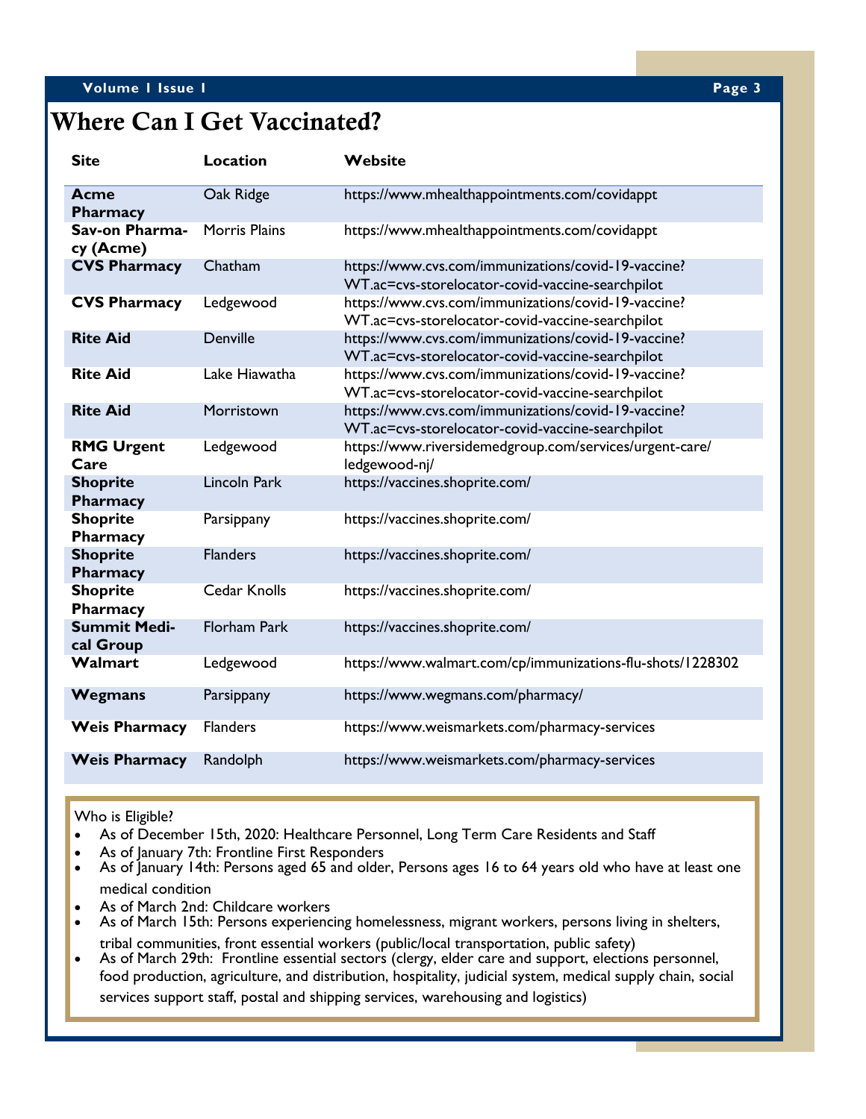### **Volume 1 Issue 1 Page 3**

### Where Can I Get Vaccinated?

| <b>Site</b>                      | <b>Location</b>      | Website                                                                                                 |
|----------------------------------|----------------------|---------------------------------------------------------------------------------------------------------|
| Acme<br>Pharmacy                 | Oak Ridge            | https://www.mhealthappointments.com/covidappt                                                           |
| Sav-on Pharma-<br>cy (Acme)      | <b>Morris Plains</b> | https://www.mhealthappointments.com/covidappt                                                           |
| <b>CVS Pharmacy</b>              | Chatham              | https://www.cvs.com/immunizations/covid-19-vaccine?<br>WT.ac=cvs-storelocator-covid-vaccine-searchpilot |
| <b>CVS Pharmacy</b>              | Ledgewood            | https://www.cvs.com/immunizations/covid-19-vaccine?<br>WT.ac=cvs-storelocator-covid-vaccine-searchpilot |
| <b>Rite Aid</b>                  | Denville             | https://www.cvs.com/immunizations/covid-19-vaccine?<br>WT.ac=cvs-storelocator-covid-vaccine-searchpilot |
| <b>Rite Aid</b>                  | Lake Hiawatha        | https://www.cvs.com/immunizations/covid-19-vaccine?<br>WT.ac=cvs-storelocator-covid-vaccine-searchpilot |
| <b>Rite Aid</b>                  | Morristown           | https://www.cvs.com/immunizations/covid-19-vaccine?<br>WT.ac=cvs-storelocator-covid-vaccine-searchpilot |
| <b>RMG Urgent</b><br>Care        | Ledgewood            | https://www.riversidemedgroup.com/services/urgent-care/<br>ledgewood-nj/                                |
| <b>Shoprite</b><br>Pharmacy      | <b>Lincoln Park</b>  | https://vaccines.shoprite.com/                                                                          |
| <b>Shoprite</b><br>Pharmacy      | Parsippany           | https://vaccines.shoprite.com/                                                                          |
| <b>Shoprite</b><br>Pharmacy      | <b>Flanders</b>      | https://vaccines.shoprite.com/                                                                          |
| <b>Shoprite</b><br>Pharmacy      | <b>Cedar Knolls</b>  | https://vaccines.shoprite.com/                                                                          |
| <b>Summit Medi-</b><br>cal Group | <b>Florham Park</b>  | https://vaccines.shoprite.com/                                                                          |
| <b>Walmart</b>                   | Ledgewood            | https://www.walmart.com/cp/immunizations-flu-shots/1228302                                              |
| <b>Wegmans</b>                   | Parsippany           | https://www.wegmans.com/pharmacy/                                                                       |
| <b>Weis Pharmacy</b>             | <b>Flanders</b>      | https://www.weismarkets.com/pharmacy-services                                                           |
| <b>Weis Pharmacy</b>             | Randolph             | https://www.weismarkets.com/pharmacy-services                                                           |

Who is Eligible?

- As of December 15th, 2020: Healthcare Personnel, Long Term Care Residents and Staff
- As of January 7th: Frontline First Responders
- As of January 14th: Persons aged 65 and older, Persons ages 16 to 64 years old who have at least one medical condition
- As of March 2nd: Childcare workers
- As of March 15th: Persons experiencing homelessness, migrant workers, persons living in shelters, tribal communities, front essential workers (public/local transportation, public safety)
- As of March 29th: Frontline essential sectors (clergy, elder care and support, elections personnel, food production, agriculture, and distribution, hospitality, judicial system, medical supply chain, social services support staff, postal and shipping services, warehousing and logistics)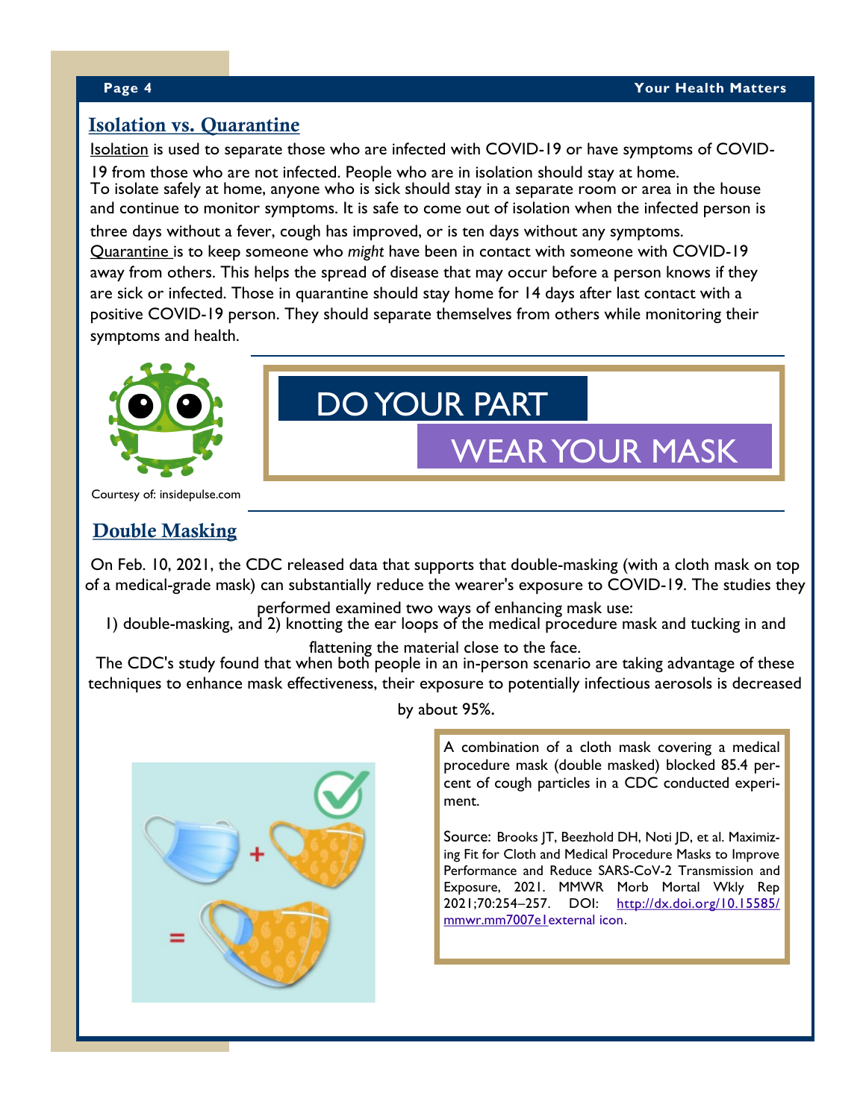### Isolation vs. Quarantine

Isolation is used to separate those who are infected with COVID-19 or have symptoms of COVID-

19 from those who are not infected. People who are in isolation should stay at home. To isolate safely at home, anyone who is sick should stay in a separate room or area in the house and continue to monitor symptoms. It is safe to come out of isolation when the infected person is

three days without a fever, cough has improved, or is ten days without any symptoms. Quarantine is to keep someone who *might* have been in contact with someone with COVID-19 away from others. This helps the spread of disease that may occur before a person knows if they are sick or infected. Those in quarantine should stay home for 14 days after last contact with a positive COVID-19 person. They should separate themselves from others while monitoring their symptoms and health.



### DO YOUR PART

### WEAR YOUR MASK

Courtesy of: insidepulse.com

### Double Masking

On Feb. 10, 2021, the CDC released data that supports that double-masking (with a cloth mask on top of a medical-grade mask) can substantially reduce the wearer's exposure to COVID-19. The studies they

performed examined two ways of enhancing mask use:

1) double-masking, and 2) knotting the ear loops of the medical procedure mask and tucking in and

### flattening the material close to the face.

The CDC's study found that when both people in an in-person scenario are taking advantage of these techniques to enhance mask effectiveness, their exposure to potentially infectious aerosols is decreased

by about 95%.

A combination of a cloth mask covering a medical procedure mask (double masked) blocked 85.4 percent of cough particles in a CDC conducted experiment.

Source: Brooks JT, Beezhold DH, Noti JD, et al. Maximizing Fit for Cloth and Medical Procedure Masks to Improve Performance and Reduce SARS-CoV-2 Transmission and Exposure, 2021. MMWR Morb Mortal Wkly Rep 2021;70:254–257. DOI: [http://dx.doi.org/10.15585/](http://dx.doi.org/10.15585/mmwr.mm7007e1) [mmwr.mm7007e1external icon](http://dx.doi.org/10.15585/mmwr.mm7007e1).

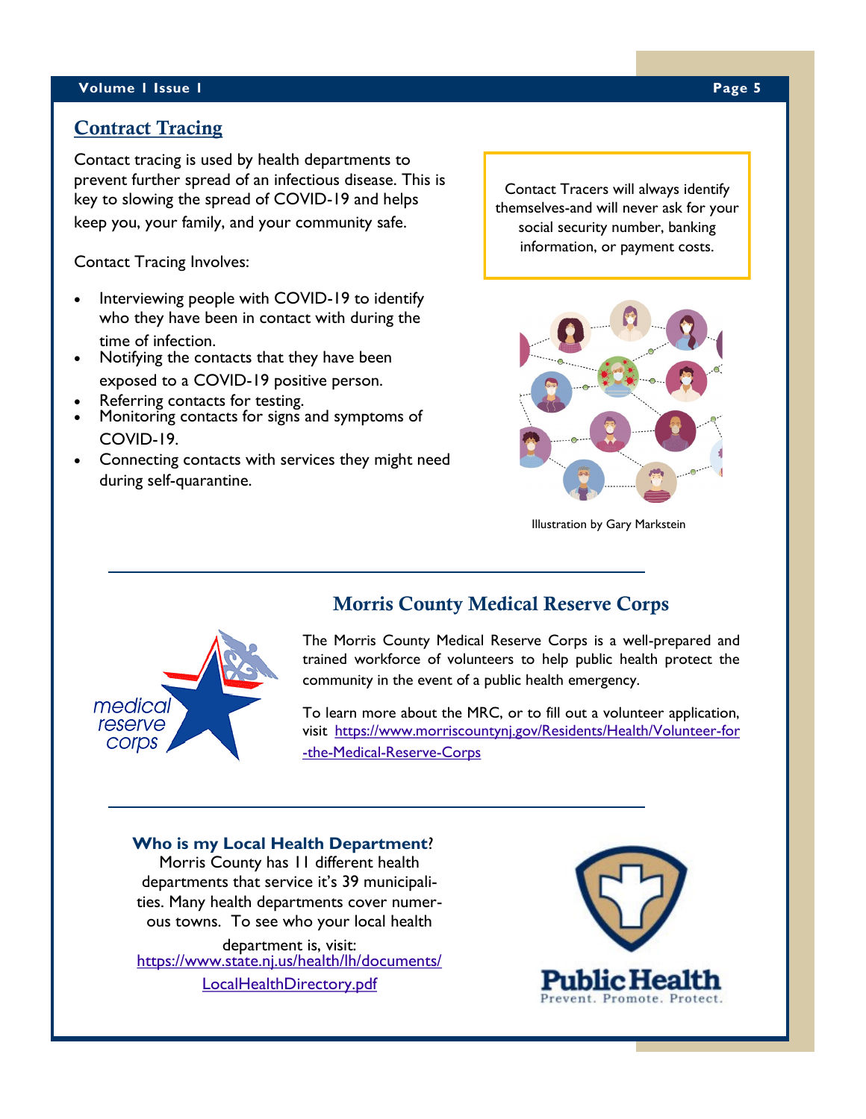### **Volume 1 Issue 1 Page 5**

### Contract Tracing

Contact tracing is used by health departments to prevent further spread of an infectious disease. This is key to slowing the spread of COVID-19 and helps keep you, your family, and your community safe.

Contact Tracing Involves:

- Interviewing people with COVID-19 to identify who they have been in contact with during the time of infection.
- Notifying the contacts that they have been exposed to a COVID-19 positive person.
- Referring contacts for testing.
- Monitoring contacts for signs and symptoms of COVID-19.
- Connecting contacts with services they might need during self-quarantine.

Contact Tracers will always identify themselves-and will never ask for your social security number, banking information, or payment costs.



Illustration by Gary Markstein



### Morris County Medical Reserve Corps

The Morris County Medical Reserve Corps is a well-prepared and trained workforce of volunteers to help public health protect the community in the event of a public health emergency.

To learn more about the MRC, or to fill out a volunteer application, visit [https://www.morriscountynj.gov/Residents/Health/Volunteer-for](https://www.morriscountynj.gov/Residents/Health/Volunteer-for-the-Medical-Reserve-CorpsC:/Users/bsmith/Documents/Custom%20Office%20Templates) [-the-Medical-Reserve-Corps](https://www.morriscountynj.gov/Residents/Health/Volunteer-for-the-Medical-Reserve-CorpsC:/Users/bsmith/Documents/Custom%20Office%20Templates)

### **Who is my Local Health Department**? Morris County has 11 different health departments that service it's 39 municipalities. Many health departments cover numerous towns. To see who your local health department is, visit: [https://www.state.nj.us/health/lh/documents/](https://www.state.nj.us/health/lh/documents/LocalHealthDirectory.pdfC:/Users/bsmith/Documents/Custom%20Office%20Templates)

[LocalHealthDirectory.pdf](https://www.state.nj.us/health/lh/documents/LocalHealthDirectory.pdfC:/Users/bsmith/Documents/Custom%20Office%20Templates)